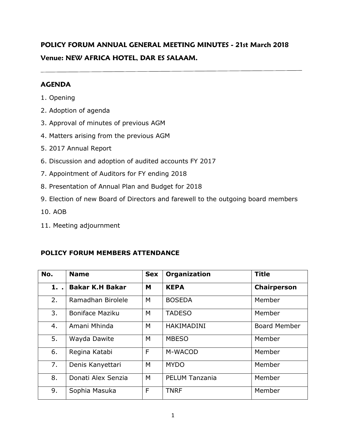# **POLICY FORUM ANNUAL GENERAL MEETING MINUTES - 21st March 2018 Venue: NEW AFRICA HOTEL, DAR ES SALAAM.**

### **AGENDA**

- 1. Opening
- 2. Adoption of agenda
- 3. Approval of minutes of previous AGM
- 4. Matters arising from the previous AGM
- 5. 2017 Annual Report
- 6. Discussion and adoption of audited accounts FY 2017
- 7. Appointment of Auditors for FY ending 2018
- 8. Presentation of Annual Plan and Budget for 2018
- 9. Election of new Board of Directors and farewell to the outgoing board members
- 10. AOB
- 11. Meeting adjournment

### **POLICY FORUM MEMBERS ATTENDANCE**

| No. | <b>Name</b>            | <b>Sex</b> | Organization          | <b>Title</b>        |
|-----|------------------------|------------|-----------------------|---------------------|
| 1.  | <b>Bakar K.H Bakar</b> | M          | <b>KEPA</b>           | <b>Chairperson</b>  |
| 2.  | Ramadhan Birolele      | M          | <b>BOSEDA</b>         | Member              |
| 3.  | <b>Boniface Maziku</b> | M          | <b>TADESO</b>         | Member              |
| 4.  | Amani Mhinda           | M          | <b>HAKIMADINI</b>     | <b>Board Member</b> |
| 5.  | Wayda Dawite           | M          | <b>MBESO</b>          | Member              |
| 6.  | Regina Katabi          | F          | M-WACOD               | Member              |
| 7.  | Denis Kanyettari       | M          | <b>MYDO</b>           | Member              |
| 8.  | Donati Alex Senzia     | M          | <b>PELUM Tanzania</b> | Member              |
| 9.  | Sophia Masuka          | F          | <b>TNRF</b>           | Member              |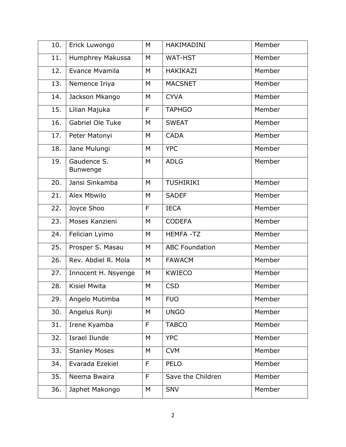| 10. | Erick Luwongo           | M | HAKIMADINI            | Member |
|-----|-------------------------|---|-----------------------|--------|
| 11. | Humphrey Makussa        | M | <b>WAT-HST</b>        | Member |
| 12. | Evance Mvamila          | M | HAKIKAZI              | Member |
| 13. | Nemence Iriya           | M | <b>MACSNET</b>        | Member |
| 14. | Jackson Mkango          | M | <b>CYVA</b>           | Member |
| 15. | Lilian Majuka           | F | <b>TAPHGO</b>         | Member |
| 16. | Gabriel Ole Tuke        | M | <b>SWEAT</b>          | Member |
| 17. | Peter Matonyi           | M | <b>CADA</b>           | Member |
| 18. | Jane Mulungi            | M | <b>YPC</b>            | Member |
| 19. | Gaudence S.<br>Bunwenge | M | <b>ADLG</b>           | Member |
| 20. | Jansi Sinkamba          | M | <b>TUSHIRIKI</b>      | Member |
| 21. | Alex Mbwilo             | M | <b>SADEF</b>          | Member |
| 22. | Joyce Shoo              | F | <b>IECA</b>           | Member |
| 23. | Moses Kanzieni          | M | <b>CODEFA</b>         | Member |
| 24. | Felician Lyimo          | M | <b>HEMFA-TZ</b>       | Member |
| 25. | Prosper S. Masau        | M | <b>ABC Foundation</b> | Member |
| 26. | Rev. Abdiel R. Mola     | M | <b>FAWACM</b>         | Member |
| 27. | Innocent H. Nsyenge     | M | <b>KWIECO</b>         | Member |
| 28. | Kisiel Mwita            | M | <b>CSD</b>            | Member |
| 29. | Angelo Mutimba          | M | <b>FUO</b>            | Member |
| 30. | Angelus Runji           | M | <b>UNGO</b>           | Member |
| 31. | Irene Kyamba            | F | <b>TABCO</b>          | Member |
| 32. | <b>Israel Ilunde</b>    | M | <b>YPC</b>            | Member |
| 33. | <b>Stanley Moses</b>    | M | <b>CVM</b>            | Member |
| 34. | Evarada Ezekiel         | F | <b>PELO</b>           | Member |
| 35. | Neema Bwaira            | F | Save the Children     | Member |
| 36. | Japhet Makongo          | M | <b>SNV</b>            | Member |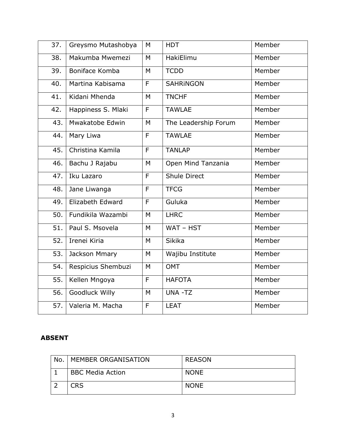| 37. | Greysmo Mutashobya | M | <b>HDT</b>           | Member |
|-----|--------------------|---|----------------------|--------|
| 38. | Makumba Mwemezi    | M | HakiElimu            | Member |
| 39. | Boniface Komba     | M | <b>TCDD</b>          | Member |
| 40. | Martina Kabisama   | F | <b>SAHRINGON</b>     | Member |
| 41. | Kidani Mhenda      | M | <b>TNCHF</b>         | Member |
| 42. | Happiness S. Mlaki | F | <b>TAWLAE</b>        | Member |
| 43. | Mwakatobe Edwin    | M | The Leadership Forum | Member |
| 44. | Mary Liwa          | F | <b>TAWLAE</b>        | Member |
| 45. | Christina Kamila   | F | <b>TANLAP</b>        | Member |
| 46. | Bachu J Rajabu     | M | Open Mind Tanzania   | Member |
| 47. | Iku Lazaro         | F | <b>Shule Direct</b>  | Member |
| 48. | Jane Liwanga       | F | <b>TFCG</b>          | Member |
| 49. | Elizabeth Edward   | F | Guluka               | Member |
| 50. | Fundikila Wazambi  | M | <b>LHRC</b>          | Member |
| 51. | Paul S. Msovela    | M | WAT - HST            | Member |
| 52. | Irenei Kiria       | M | Sikika               | Member |
| 53. | Jackson Mmary      | M | Wajibu Institute     | Member |
| 54. | Respicius Shembuzi | M | <b>OMT</b>           | Member |
| 55. | Kellen Mngoya      | F | <b>HAFOTA</b>        | Member |
| 56. | Goodluck Willy     | M | UNA -TZ              | Member |
| 57. | Valeria M. Macha   | F | <b>LEAT</b>          | Member |

#### **ABSENT**

| No. | MEMBER ORGANISATION     | REASON      |
|-----|-------------------------|-------------|
|     | <b>BBC Media Action</b> | <b>NONE</b> |
|     | CRS                     | <b>NONE</b> |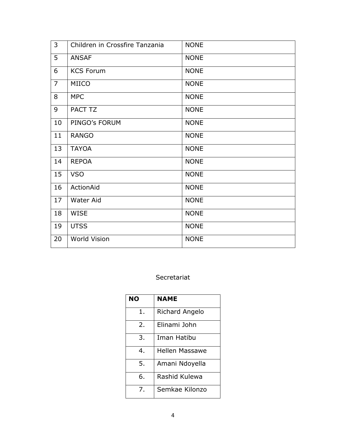| 3              | Children in Crossfire Tanzania | <b>NONE</b> |
|----------------|--------------------------------|-------------|
| 5              | <b>ANSAF</b>                   | <b>NONE</b> |
| 6              | <b>KCS Forum</b>               | <b>NONE</b> |
| $\overline{7}$ | MIICO                          | <b>NONE</b> |
| 8              | <b>MPC</b>                     | <b>NONE</b> |
| 9              | PACT TZ                        | <b>NONE</b> |
| 10             | PINGO's FORUM                  | <b>NONE</b> |
| 11             | <b>RANGO</b>                   | <b>NONE</b> |
| 13             | <b>TAYOA</b>                   | <b>NONE</b> |
| 14             | <b>REPOA</b>                   | <b>NONE</b> |
| 15             | <b>VSO</b>                     | <b>NONE</b> |
| 16             | ActionAid                      | <b>NONE</b> |
| 17             | Water Aid                      | <b>NONE</b> |
| 18             | <b>WISE</b>                    | <b>NONE</b> |
| 19             | <b>UTSS</b>                    | <b>NONE</b> |
| 20             | <b>World Vision</b>            | <b>NONE</b> |

# Secretariat

| <b>NO</b>             | <b>NAME</b>           |
|-----------------------|-----------------------|
| 1.                    | Richard Angelo        |
| $\mathcal{P}_{\cdot}$ | Elinami John          |
| 3.                    | Iman Hatibu           |
| 4.                    | <b>Hellen Massawe</b> |
| 5.                    | Amani Ndoyella        |
| 6.                    | Rashid Kulewa         |
| 7.                    | Semkae Kilonzo        |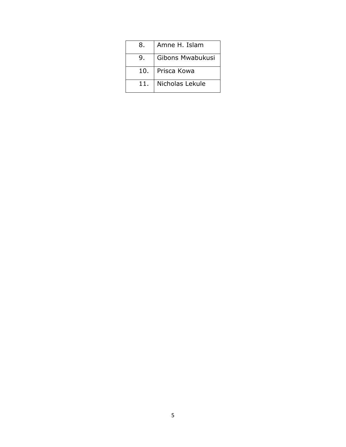| 8.  | Amne H. Islam     |
|-----|-------------------|
| 9.  | Gibons Mwabukusi  |
|     | 10.   Prisca Kowa |
| 11. | Nicholas Lekule   |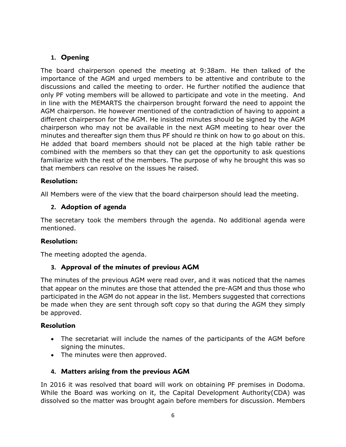# **1. Opening**

The board chairperson opened the meeting at 9:38am. He then talked of the importance of the AGM and urged members to be attentive and contribute to the discussions and called the meeting to order. He further notified the audience that only PF voting members will be allowed to participate and vote in the meeting. And in line with the MEMARTS the chairperson brought forward the need to appoint the AGM chairperson. He however mentioned of the contradiction of having to appoint a different chairperson for the AGM. He insisted minutes should be signed by the AGM chairperson who may not be available in the next AGM meeting to hear over the minutes and thereafter sign them thus PF should re think on how to go about on this. He added that board members should not be placed at the high table rather be combined with the members so that they can get the opportunity to ask questions familiarize with the rest of the members. The purpose of why he brought this was so that members can resolve on the issues he raised.

### **Resolution:**

All Members were of the view that the board chairperson should lead the meeting.

### **2. Adoption of agenda**

The secretary took the members through the agenda. No additional agenda were mentioned.

#### **Resolution:**

The meeting adopted the agenda.

### **3. Approval of the minutes of previous AGM**

The minutes of the previous AGM were read over, and it was noticed that the names that appear on the minutes are those that attended the pre-AGM and thus those who participated in the AGM do not appear in the list. Members suggested that corrections be made when they are sent through soft copy so that during the AGM they simply be approved.

#### **Resolution**

- The secretariat will include the names of the participants of the AGM before signing the minutes.
- The minutes were then approved.

### **4. Matters arising from the previous AGM**

In 2016 it was resolved that board will work on obtaining PF premises in Dodoma. While the Board was working on it, the Capital Development Authority(CDA) was dissolved so the matter was brought again before members for discussion. Members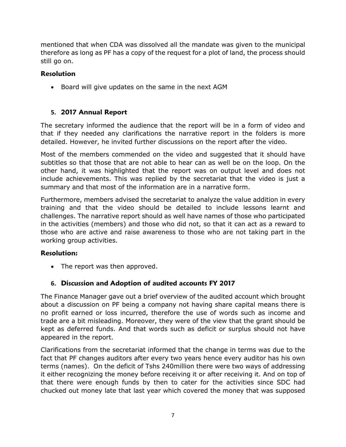mentioned that when CDA was dissolved all the mandate was given to the municipal therefore as long as PF has a copy of the request for a plot of land, the process should still go on.

# **Resolution**

• Board will give updates on the same in the next AGM

# **5. 2017 Annual Report**

The secretary informed the audience that the report will be in a form of video and that if they needed any clarifications the narrative report in the folders is more detailed. However, he invited further discussions on the report after the video.

Most of the members commended on the video and suggested that it should have subtitles so that those that are not able to hear can as well be on the loop. On the other hand, it was highlighted that the report was on output level and does not include achievements. This was replied by the secretariat that the video is just a summary and that most of the information are in a narrative form.

Furthermore, members advised the secretariat to analyze the value addition in every training and that the video should be detailed to include lessons learnt and challenges. The narrative report should as well have names of those who participated in the activities (members) and those who did not, so that it can act as a reward to those who are active and raise awareness to those who are not taking part in the working group activities.

### **Resolution:**

• The report was then approved.

# **6. Discussion and Adoption of audited accounts FY 2017**

The Finance Manager gave out a brief overview of the audited account which brought about a discussion on PF being a company not having share capital means there is no profit earned or loss incurred, therefore the use of words such as income and trade are a bit misleading. Moreover, they were of the view that the grant should be kept as deferred funds. And that words such as deficit or surplus should not have appeared in the report.

Clarifications from the secretariat informed that the change in terms was due to the fact that PF changes auditors after every two years hence every auditor has his own terms (names). On the deficit of Tshs 240million there were two ways of addressing it either recognizing the money before receiving it or after receiving it. And on top of that there were enough funds by then to cater for the activities since SDC had chucked out money late that last year which covered the money that was supposed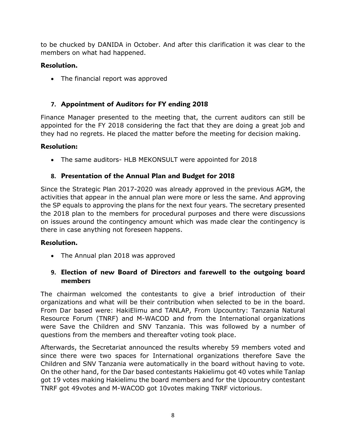to be chucked by DANIDA in October. And after this clarification it was clear to the members on what had happened.

### **Resolution.**

• The financial report was approved

# **7. Appointment of Auditors for FY ending 2018**

Finance Manager presented to the meeting that, the current auditors can still be appointed for the FY 2018 considering the fact that they are doing a great job and they had no regrets. He placed the matter before the meeting for decision making.

# **Resolution:**

• The same auditors- HLB MEKONSULT were appointed for 2018

# **8. Presentation of the Annual Plan and Budget for 2018**

Since the Strategic Plan 2017-2020 was already approved in the previous AGM, the activities that appear in the annual plan were more or less the same. And approving the SP equals to approving the plans for the next four years. The secretary presented the 2018 plan to the members for procedural purposes and there were discussions on issues around the contingency amount which was made clear the contingency is there in case anything not foreseen happens.

### **Resolution.**

• The Annual plan 2018 was approved

# **9. Election of new Board of Directors and farewell to the outgoing board members**

The chairman welcomed the contestants to give a brief introduction of their organizations and what will be their contribution when selected to be in the board. From Dar based were: HakiElimu and TANLAP, From Upcountry: Tanzania Natural Resource Forum (TNRF) and M-WACOD and from the International organizations were Save the Children and SNV Tanzania. This was followed by a number of questions from the members and thereafter voting took place.

Afterwards, the Secretariat announced the results whereby 59 members voted and since there were two spaces for International organizations therefore Save the Children and SNV Tanzania were automatically in the board without having to vote. On the other hand, for the Dar based contestants Hakielimu got 40 votes while Tanlap got 19 votes making Hakielimu the board members and for the Upcountry contestant TNRF got 49votes and M-WACOD got 10votes making TNRF victorious.